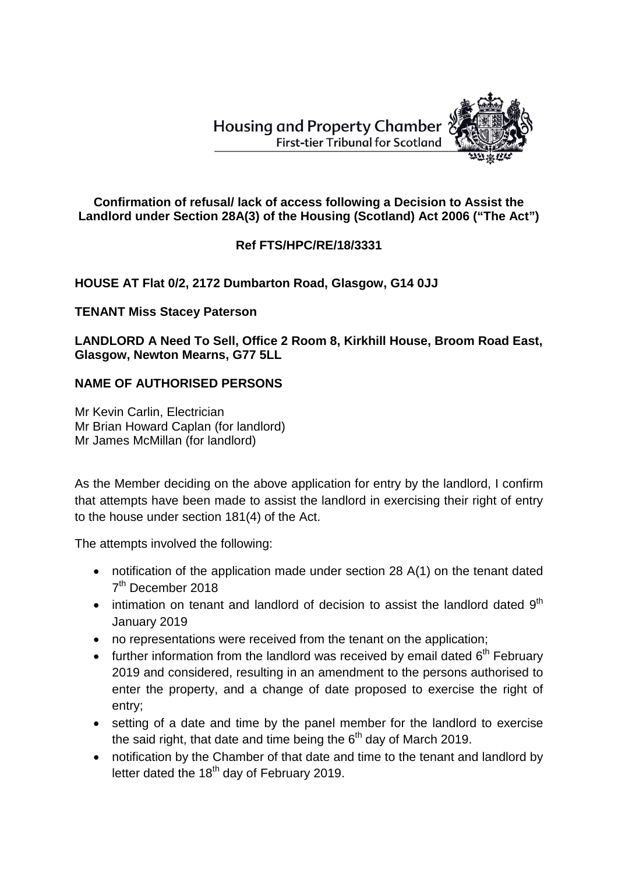

### **Confirmation of refusal/ lack of access following a Decision to Assist the Landlord under Section 28A(3) of the Housing (Scotland) Act 2006 ("The Act")**

# **Ref FTS/HPC/RE/18/3331**

## **HOUSE AT Flat 0/2, 2172 Dumbarton Road, Glasgow, G14 0JJ**

### **TENANT Miss Stacey Paterson**

**LANDLORD A Need To Sell, Office 2 Room 8, Kirkhill House, Broom Road East, Glasgow, Newton Mearns, G77 5LL**

### **NAME OF AUTHORISED PERSONS**

Mr Kevin Carlin, Electrician Mr Brian Howard Caplan (for landlord) Mr James McMillan (for landlord)

As the Member deciding on the above application for entry by the landlord, I confirm that attempts have been made to assist the landlord in exercising their right of entry to the house under section 181(4) of the Act.

The attempts involved the following:

- notification of the application made under section 28 A(1) on the tenant dated 7<sup>th</sup> December 2018
- intimation on tenant and landlord of decision to assist the landlord dated  $9<sup>th</sup>$ January 2019
- no representations were received from the tenant on the application;
- further information from the landlord was received by email dated  $6<sup>th</sup>$  February 2019 and considered, resulting in an amendment to the persons authorised to enter the property, and a change of date proposed to exercise the right of entry;
- setting of a date and time by the panel member for the landlord to exercise the said right, that date and time being the  $6<sup>th</sup>$  day of March 2019.
- notification by the Chamber of that date and time to the tenant and landlord by letter dated the  $18<sup>th</sup>$  day of February 2019.